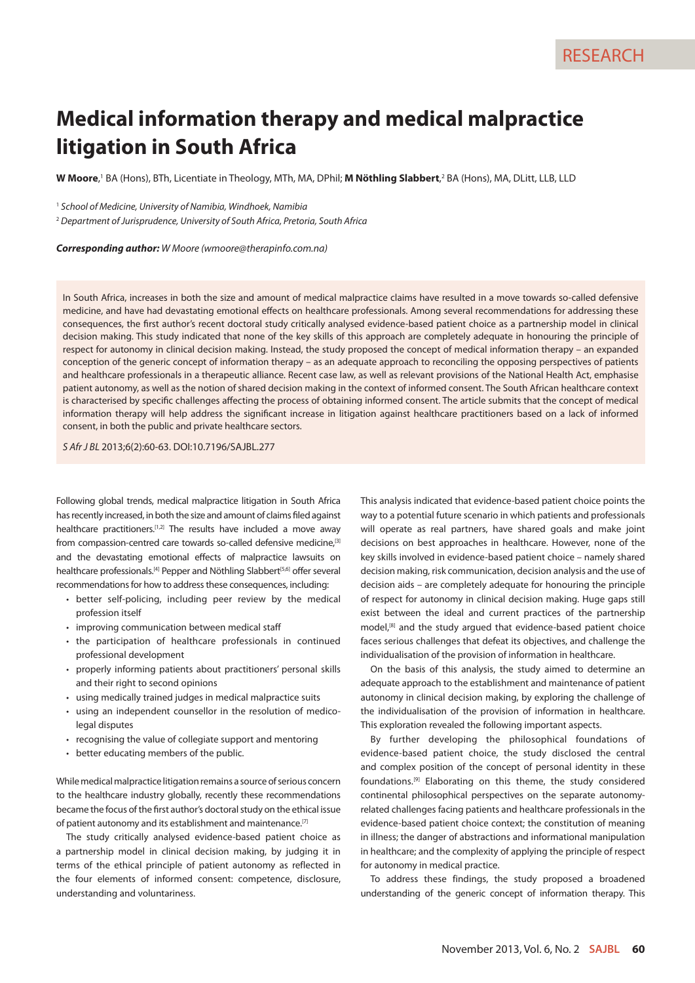# **Medical information therapy and medical malpractice litigation in South Africa**

**W Moore**,' BA (Hons), BTh, Licentiate in Theology, MTh, MA, DPhil; **M Nöthling Slabbert**,<sup>2</sup> BA (Hons), MA, DLitt, LLB, LLD

1  *School of Medicine, University of Namibia, Windhoek, Namibia*

2  *Department of Jurisprudence, University of South Africa, Pretoria, South Africa*

*Corresponding author: W Moore ([wmoore@therapinfo.com.na\)](mailto:wmoore@therapinfo.com.na)*

In South Africa, increases in both the size and amount of medical malpractice claims have resulted in a move towards so-called defensive medicine, and have had devastating emotional effects on healthcare professionals. Among several recommendations for addressing these consequences, the first author's recent doctoral study critically analysed evidence-based patient choice as a partnership model in clinical decision making. This study indicated that none of the key skills of this approach are completely adequate in honouring the principle of respect for autonomy in clinical decision making. Instead, the study proposed the concept of medical information therapy – an expanded conception of the generic concept of information therapy – as an adequate approach to reconciling the opposing perspectives of patients and healthcare professionals in a therapeutic alliance. Recent case law, as well as relevant provisions of the National Health Act, emphasise patient autonomy, as well as the notion of shared decision making in the context of informed consent. The South African healthcare context is characterised by specific challenges affecting the process of obtaining informed consent. The article submits that the concept of medical information therapy will help address the significant increase in litigation against healthcare practitioners based on a lack of informed consent, in both the public and private healthcare sectors.

*S Afr J BL* 2013;6(2):60-63. DOI:10.7196/SAJBL.277

Following global trends, medical malpractice litigation in South Africa has recently increased, in both the size and amount of claims filed against healthcare practitioners.<sup>[1,2]</sup> The results have included a move away from compassion-centred care towards so-called defensive medicine,<sup>[3]</sup> and the devastating emotional effects of malpractice lawsuits on healthcare professionals.<sup>[4]</sup> Pepper and Nöthling Slabbert<sup>[5,6]</sup> offer several recommendations for how to address these consequences, including:

- better self-policing, including peer review by the medical profession itself
- improving communication between medical staff
- the participation of healthcare professionals in continued professional development
- properly informing patients about practitioners' personal skills and their right to second opinions
- using medically trained judges in medical malpractice suits
- using an independent counsellor in the resolution of medicolegal disputes
- recognising the value of collegiate support and mentoring
- better educating members of the public.

While medical malpractice litigation remains a source of serious concern to the healthcare industry globally, recently these recommendations became the focus of the first author's doctoral study on the ethical issue of patient autonomy and its establishment and maintenance.<sup>[7]</sup>

The study critically analysed evidence-based patient choice as a partnership model in clinical decision making, by judging it in terms of the ethical principle of patient autonomy as reflected in the four elements of informed consent: competence, disclosure, understanding and voluntariness.

This analysis indicated that evidence-based patient choice points the way to a potential future scenario in which patients and professionals will operate as real partners, have shared goals and make joint decisions on best approaches in healthcare. However, none of the key skills involved in evidence-based patient choice – namely shared decision making, risk communication, decision analysis and the use of decision aids – are completely adequate for honouring the principle of respect for autonomy in clinical decision making. Huge gaps still exist between the ideal and current practices of the partnership model,<sup>[8]</sup> and the study argued that evidence-based patient choice faces serious challenges that defeat its objectives, and challenge the individualisation of the provision of information in healthcare.

On the basis of this analysis, the study aimed to determine an adequate approach to the establishment and maintenance of patient autonomy in clinical decision making, by exploring the challenge of the individualisation of the provision of information in healthcare. This exploration revealed the following important aspects.

By further developing the philosophical foundations of evidence-based patient choice, the study disclosed the central and complex position of the concept of personal identity in these foundations.[9] Elaborating on this theme, the study considered continental philosophical perspectives on the separate autonomyrelated challenges facing patients and healthcare professionals in the evidence-based patient choice context; the constitution of meaning in illness; the danger of abstractions and informational manipulation in healthcare; and the complexity of applying the principle of respect for autonomy in medical practice.

To address these findings, the study proposed a broadened understanding of the generic concept of information therapy. This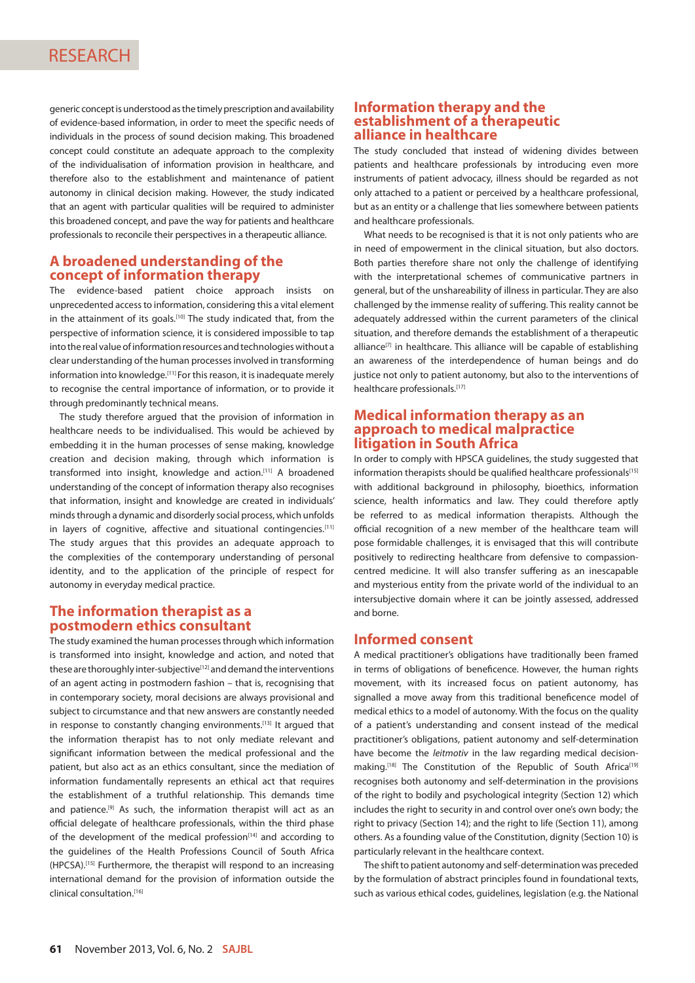generic concept is understood as the timely prescription and availability of evidence-based information, in order to meet the specific needs of individuals in the process of sound decision making. This broadened concept could constitute an adequate approach to the complexity of the individualisation of information provision in healthcare, and therefore also to the establishment and maintenance of patient autonomy in clinical decision making. However, the study indicated that an agent with particular qualities will be required to administer this broadened concept, and pave the way for patients and healthcare professionals to reconcile their perspectives in a therapeutic alliance.

#### **A broadened understanding of the concept of information therapy**

The evidence-based patient choice approach insists on unprecedented access to information, considering this a vital element in the attainment of its goals.[10] The study indicated that, from the perspective of information science, it is considered impossible to tap into the real value of information resources and technologies without a clear understanding of the human processes involved in transforming information into knowledge.<sup>[11]</sup> For this reason, it is inadequate merely to recognise the central importance of information, or to provide it through predominantly technical means.

The study therefore argued that the provision of information in healthcare needs to be individualised. This would be achieved by embedding it in the human processes of sense making, knowledge creation and decision making, through which information is transformed into insight, knowledge and action.[11] A broadened understanding of the concept of information therapy also recognises that information, insight and knowledge are created in individuals' minds through a dynamic and disorderly social process, which unfolds in layers of cognitive, affective and situational contingencies.[11] The study argues that this provides an adequate approach to the complexities of the contemporary understanding of personal identity, and to the application of the principle of respect for autonomy in everyday medical practice.

#### **The information therapist as a postmodern ethics consultant**

The study examined the human processes through which information is transformed into insight, knowledge and action, and noted that these are thoroughly inter-subjective<sup>[12]</sup> and demand the interventions of an agent acting in postmodern fashion – that is, recognising that in contemporary society, moral decisions are always provisional and subject to circumstance and that new answers are constantly needed in response to constantly changing environments.<sup>[13]</sup> It argued that the information therapist has to not only mediate relevant and significant information between the medical professional and the patient, but also act as an ethics consultant, since the mediation of information fundamentally represents an ethical act that requires the establishment of a truthful relationship. This demands time and patience.<sup>[9]</sup> As such, the information therapist will act as an official delegate of healthcare professionals, within the third phase of the development of the medical profession $[14]$  and according to the guidelines of the Health Professions Council of South Africa (HPCSA).[15] Furthermore, the therapist will respond to an increasing international demand for the provision of information outside the clinical consultation.[16]

#### **Information therapy and the establishment of a therapeutic alliance in healthcare**

The study concluded that instead of widening divides between patients and healthcare professionals by introducing even more instruments of patient advocacy, illness should be regarded as not only attached to a patient or perceived by a healthcare professional, but as an entity or a challenge that lies somewhere between patients and healthcare professionals.

What needs to be recognised is that it is not only patients who are in need of empowerment in the clinical situation, but also doctors. Both parties therefore share not only the challenge of identifying with the interpretational schemes of communicative partners in general, but of the unshareability of illness in particular. They are also challenged by the immense reality of suffering. This reality cannot be adequately addressed within the current parameters of the clinical situation, and therefore demands the establishment of a therapeutic  $alliance^{[7]}$  in healthcare. This alliance will be capable of establishing an awareness of the interdependence of human beings and do justice not only to patient autonomy, but also to the interventions of healthcare professionals.[17]

#### **Medical information therapy as an approach to medical malpractice litigation in South Africa**

In order to comply with HPSCA guidelines, the study suggested that information therapists should be qualified healthcare professionals<sup>[15]</sup> with additional background in philosophy, bioethics, information science, health informatics and law. They could therefore aptly be referred to as medical information therapists. Although the official recognition of a new member of the healthcare team will pose formidable challenges, it is envisaged that this will contribute positively to redirecting healthcare from defensive to compassioncentred medicine. It will also transfer suffering as an inescapable and mysterious entity from the private world of the individual to an intersubjective domain where it can be jointly assessed, addressed and borne.

#### **Informed consent**

A medical practitioner's obligations have traditionally been framed in terms of obligations of beneficence. However, the human rights movement, with its increased focus on patient autonomy, has signalled a move away from this traditional beneficence model of medical ethics to a model of autonomy. With the focus on the quality of a patient's understanding and consent instead of the medical practitioner's obligations, patient autonomy and self-determination have become the *leitmotiv* in the law regarding medical decisionmaking.<sup>[18]</sup> The Constitution of the Republic of South Africa<sup>[19]</sup> recognises both autonomy and self-determination in the provisions of the right to bodily and psychological integrity (Section 12) which includes the right to security in and control over one's own body; the right to privacy (Section 14); and the right to life (Section 11), among others. As a founding value of the Constitution, dignity (Section 10) is particularly relevant in the healthcare context.

The shift to patient autonomy and self-determination was preceded by the formulation of abstract principles found in foundational texts, such as various ethical codes, guidelines, legislation (e.g. the National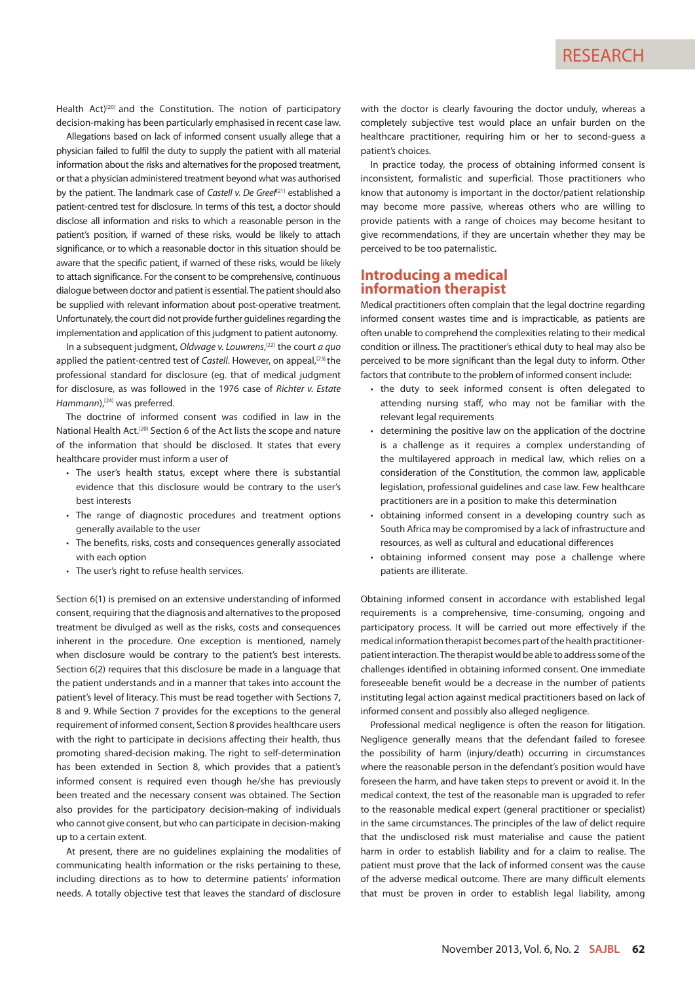Health Act)<sup>[20]</sup> and the Constitution. The notion of participatory decision-making has been particularly emphasised in recent case law.

Allegations based on lack of informed consent usually allege that a physician failed to fulfil the duty to supply the patient with all material information about the risks and alternatives for the proposed treatment, or that a physician administered treatment beyond what was authorised by the patient. The landmark case of *Castell v. De Greef*<sup>[21]</sup> established a patient-centred test for disclosure. In terms of this test, a doctor should disclose all information and risks to which a reasonable person in the patient's position, if warned of these risks, would be likely to attach significance, or to which a reasonable doctor in this situation should be aware that the specific patient, if warned of these risks, would be likely to attach significance. For the consent to be comprehensive, continuous dialogue between doctor and patient is essential. The patient should also be supplied with relevant information about post-operative treatment. Unfortunately, the court did not provide further guidelines regarding the implementation and application of this judgment to patient autonomy.

In a subsequent judgment, *Oldwage v. Louwrens*, [22] the court *a quo*  applied the patient-centred test of *Castell*. However, on appeal,<sup>[23]</sup> the professional standard for disclosure (eg. that of medical judgment for disclosure, as was followed in the 1976 case of *Richter v. Estate*  Hammann),<sup>[24]</sup> was preferred.

The doctrine of informed consent was codified in law in the National Health Act.<sup>[20]</sup> Section 6 of the Act lists the scope and nature of the information that should be disclosed. It states that every healthcare provider must inform a user of

- The user's health status, except where there is substantial evidence that this disclosure would be contrary to the user's best interests
- The range of diagnostic procedures and treatment options generally available to the user
- The benefits, risks, costs and consequences generally associated with each option
- The user's right to refuse health services.

Section 6(1) is premised on an extensive understanding of informed consent, requiring that the diagnosis and alternatives to the proposed treatment be divulged as well as the risks, costs and consequences inherent in the procedure. One exception is mentioned, namely when disclosure would be contrary to the patient's best interests. Section 6(2) requires that this disclosure be made in a language that the patient understands and in a manner that takes into account the patient's level of literacy. This must be read together with Sections 7, 8 and 9. While Section 7 provides for the exceptions to the general requirement of informed consent, Section 8 provides healthcare users with the right to participate in decisions affecting their health, thus promoting shared-decision making. The right to self-determination has been extended in Section 8, which provides that a patient's informed consent is required even though he/she has previously been treated and the necessary consent was obtained. The Section also provides for the participatory decision-making of individuals who cannot give consent, but who can participate in decision-making up to a certain extent.

At present, there are no guidelines explaining the modalities of communicating health information or the risks pertaining to these, including directions as to how to determine patients' information needs. A totally objective test that leaves the standard of disclosure with the doctor is clearly favouring the doctor unduly, whereas a completely subjective test would place an unfair burden on the healthcare practitioner, requiring him or her to second-guess a patient's choices.

In practice today, the process of obtaining informed consent is inconsistent, formalistic and superficial. Those practitioners who know that autonomy is important in the doctor/patient relationship may become more passive, whereas others who are willing to provide patients with a range of choices may become hesitant to give recommendations, if they are uncertain whether they may be perceived to be too paternalistic.

#### **Introducing a medical information therapist**

Medical practitioners often complain that the legal doctrine regarding informed consent wastes time and is impracticable, as patients are often unable to comprehend the complexities relating to their medical condition or illness. The practitioner's ethical duty to heal may also be perceived to be more significant than the legal duty to inform. Other factors that contribute to the problem of informed consent include:

- the duty to seek informed consent is often delegated to attending nursing staff, who may not be familiar with the relevant legal requirements
- determining the positive law on the application of the doctrine is a challenge as it requires a complex understanding of the multilayered approach in medical law, which relies on a consideration of the Constitution, the common law, applicable legislation, professional guidelines and case law. Few healthcare practitioners are in a position to make this determination
- obtaining informed consent in a developing country such as South Africa may be compromised by a lack of infrastructure and resources, as well as cultural and educational differences
- obtaining informed consent may pose a challenge where patients are illiterate.

Obtaining informed consent in accordance with established legal requirements is a comprehensive, time-consuming, ongoing and participatory process. It will be carried out more effectively if the medical information therapist becomes part of the health practitionerpatient interaction. The therapist would be able to address some of the challenges identified in obtaining informed consent. One immediate foreseeable benefit would be a decrease in the number of patients instituting legal action against medical practitioners based on lack of informed consent and possibly also alleged negligence.

Professional medical negligence is often the reason for litigation. Negligence generally means that the defendant failed to foresee the possibility of harm (injury/death) occurring in circumstances where the reasonable person in the defendant's position would have foreseen the harm, and have taken steps to prevent or avoid it. In the medical context, the test of the reasonable man is upgraded to refer to the reasonable medical expert (general practitioner or specialist) in the same circumstances. The principles of the law of delict require that the undisclosed risk must materialise and cause the patient harm in order to establish liability and for a claim to realise. The patient must prove that the lack of informed consent was the cause of the adverse medical outcome. There are many difficult elements that must be proven in order to establish legal liability, among